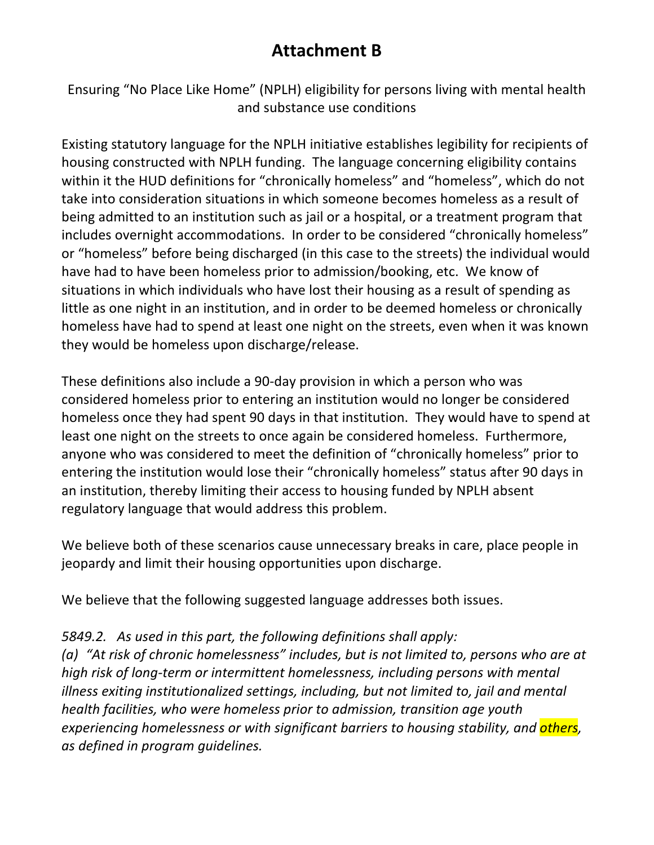## **Attachment B**

Ensuring "No Place Like Home" (NPLH) eligibility for persons living with mental health and substance use conditions

Existing statutory language for the NPLH initiative establishes legibility for recipients of housing constructed with NPLH funding. The language concerning eligibility contains within it the HUD definitions for "chronically homeless" and "homeless", which do not take into consideration situations in which someone becomes homeless as a result of being admitted to an institution such as jail or a hospital, or a treatment program that includes overnight accommodations. In order to be considered "chronically homeless" or "homeless" before being discharged (in this case to the streets) the individual would have had to have been homeless prior to admission/booking, etc. We know of situations in which individuals who have lost their housing as a result of spending as little as one night in an institution, and in order to be deemed homeless or chronically homeless have had to spend at least one night on the streets, even when it was known they would be homeless upon discharge/release.

These definitions also include a 90-day provision in which a person who was considered homeless prior to entering an institution would no longer be considered homeless once they had spent 90 days in that institution. They would have to spend at least one night on the streets to once again be considered homeless. Furthermore, anyone who was considered to meet the definition of "chronically homeless" prior to entering the institution would lose their "chronically homeless" status after 90 days in an institution, thereby limiting their access to housing funded by NPLH absent regulatory language that would address this problem.

We believe both of these scenarios cause unnecessary breaks in care, place people in jeopardy and limit their housing opportunities upon discharge.

We believe that the following suggested language addresses both issues.

## *5849.2. As used in this part, the following definitions shall apply:*

*(a)* "At risk of chronic homelessness" includes, but is not limited to, persons who are at *high risk of long-term or intermittent homelessness, including persons with mental illness exiting institutionalized settings, including, but not limited to, jail and mental health facilities, who were homeless prior to admission, transition age youth* experiencing homelessness or with significant barriers to housing stability, and *others*, *as defined in program guidelines.*